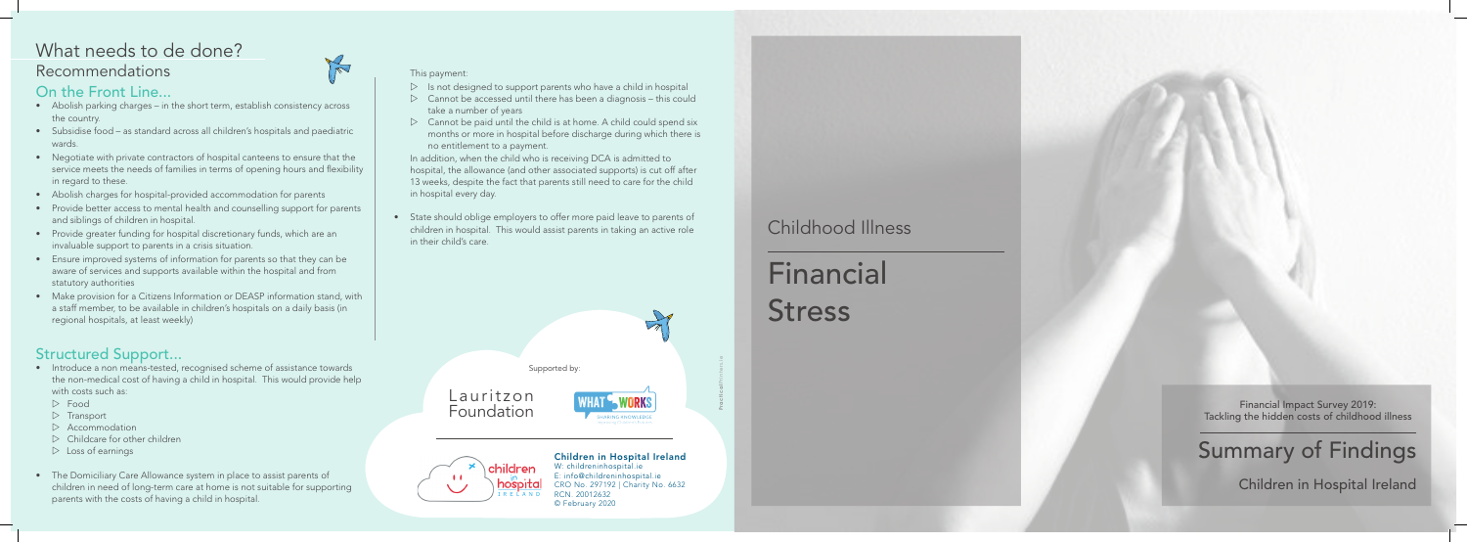Financial Impact Survey 2019: Tackling the hidden costs of childhood illness

Summary of Findings

Children in Hospital Ireland

## Childhood Illness

# **Financial Stress**

#### On the Front Line...

- Abolish parking charges in the short term, establish consistency across the country.
- Subsidise food as standard across all children's hospitals and paediatric wards.
- Negotiate with private contractors of hospital canteens to ensure that the service meets the needs of families in terms of opening hours and flexibility in regard to these.
- Abolish charges for hospital-provided accommodation for parents
- Provide better access to mental health and counselling support for parents and siblings of children in hospital.
- Provide greater funding for hospital discretionary funds, which are an invaluable support to parents in a crisis situation.
- Ensure improved systems of information for parents so that they can be aware of services and supports available within the hospital and from statutory authorities
- Make provision for a Citizens Information or DEASP information stand, with a staff member, to be available in children's hospitals on a daily basis (in regional hospitals, at least weekly)

## Recommendations What needs to de done?



- $\triangleright$  Is not designed to support parents who have a child in hospital
- $\triangleright$  Cannot be accessed until there has been a diagnosis this could take a number of years
- $\triangleright$  Cannot be paid until the child is at home. A child could spend six months or more in hospital before discharge during which there is no entitlement to a payment.

#### Structured Support...

- Introduce a non means-tested, recognised scheme of assistance towards the non-medical cost of having a child in hospital. This would provide help with costs such as:
	- $\triangleright$  Food
- $\triangleright$  Transport
- $\triangleright$  Accommodation
- $\triangleright$  Childcare for other children
- $\triangleright$  Loss of earnings
- The Domiciliary Care Allowance system in place to assist parents of children in need of long-term care at home is not suitable for supporting parents with the costs of having a child in hospital.

#### Supported by:

#### This payment:

In addition, when the child who is receiving DCA is admitted to hospital, the allowance (and other associated supports) is cut off after 13 weeks, despite the fact that parents still need to care for the child in hospital every day.

• State should oblige employers to offer more paid leave to parents of children in hospital. This would assist parents in taking an active role in their child's care.

Lauritzon Foundation





Children in Hospital Ireland W: childreninhospital.ie E: info@childreninhospital.ie

CRO No. 297192 | Charity No. 6632 RCN. 20012632 © February 2020